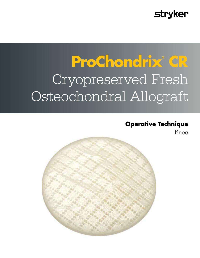# **stryker**

# **ProChondrix® CR**  Cryopreserved Fresh Osteochondral Allograft

### **Operative Technique**

Knee

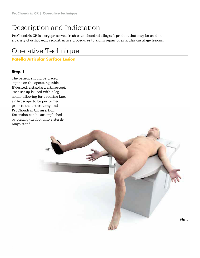### Description and Indictation

ProChondrix CR is a cryopreserved fresh osteochondral allograft product that may be used in a variety of orthopaedic reconstructive procedures to aid in repair of articular cartilage lesions.

### Operative Technique

#### **Patella Articular Surface Lesion**

#### **Step 1**

The patient should be placed supine on the operating table. If desired, a standard arthroscopic knee set up is used with a leg holder allowing for a routine knee arthroscopy to be performed prior to the arthrotomy and ProChondrix CR insertion. Extension can be accomplished by placing the foot onto a sterile Mayo stand.

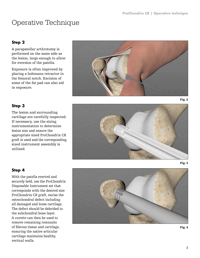#### **Step 2**

A parapatellar arthrotomy is performed on the same side as the lesion, large enough to allow for eversion of the patella.

Exposure is often improved by placing a hohmann retractor in the femoral notch. Excision of some of the fat pad can also aid in exposure.



### **Step 3**

The lesion and surrounding cartilage are carefully inspected. If necessary, use the sizing instrumentation to determine lesion size and ensure the appropriate sized ProChondrix CR graft is used and the corresponding sized instrument assembly is utilized.



### **Step 4**

With the patella everted and securely held, use the ProChondrix Disposable Instrument set that corresponds with the desired size ProChondrix CR graft, excise the osteochondral defect including all damaged and loose cartilage. The defect should be debrided to the subchondral bone layer. A curette can then be used to remove remaining remnants of fibrous tissue and cartilage, ensuring the native articular cartilage maintains healthy, vertical walls.

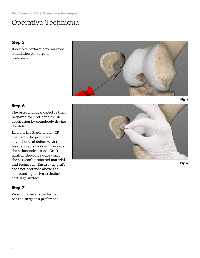#### **Step 5**

If desired, perform bone marrow stimulation per surgeon preference.



#### **Step 6**

The osteochondral defect is then prepared for ProChondrix CR application by completely drying the defect.

Implant the ProChondrix CR graft into the prepared osteochondral defect with the laser etched side down towards the subchondral bone. Graft fixation should be done using the surgeon's preferred material and technique. Ensure the graft does not protrude above the surrounding native articular cartilage surface.

### **Step 7**

Wound closure is performed per the surgeon's preference.



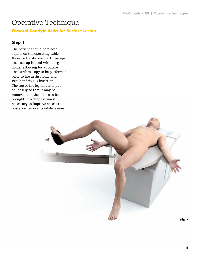#### **Femoral Condyle Articular Surface Lesion**

#### **Step 1**

The patient should be placed supine on the operating table. If desired, a standard arthroscopic knee set up is used with a leg holder allowing for a routine knee arthroscopy to be performed prior to the arthrotomy and ProChondrix CR insertion. The top of the leg holder is put on loosely so that it may be removed and the knee can be brought into deep flexion if necessary to improve access to posterior femoral condyle lesions.

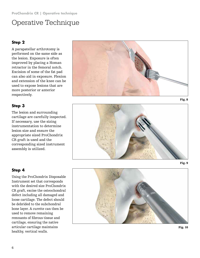### **Step 2**

A parapatellar arthrotomy is performed on the same side as the lesion. Exposure is often improved by placing a Homan retractor in the femoral notch. Excision of some of the fat pad can also aid in exposure. Flexion and extension of the knee can be used to expose lesions that are more posterior or anterior respectively.

### **Step 3**

The lesion and surrounding cartilage are carefully inspected. If necessary, use the sizing instrumentation to determine lesion size and ensure the appropriate sized ProChondrix CR graft is used and the corresponding sized instrument assembly is utilized.







#### **Step 4**

Using the ProChondrix Disposable Instrument set that corresponds with the desired size ProChondrix CR graft, excise the osteochondral defect including all damaged and loose cartilage. The defect should be debrided to the subchondral bone layer. A curette can then be used to remove remaining remnants of fibrous tissue and cartilage, ensuring the native articular cartilage maintains healthy, vertical walls.



Fig. 10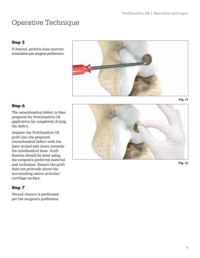### **Step 5**

If desired, perform bone marrow stimulation per surgeon preference.



#### **Step 6**

The osteochondral defect is then prepared for ProChondrix CR application by completely drying the defect.

Implant the ProChondrix CR graft into the prepared osteochondral defect with the laser etched side down towards the subchondral bone. Graft fixation should be done using the surgeon's preferred material and technique. Ensure the graft does not protrude above the surrounding native articular cartilage surface.

### **Step 7**

Wound closure is performed per the surgeon's preference.



Fig. 12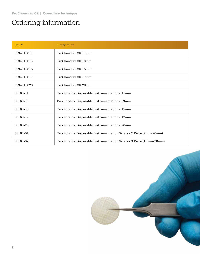### Ordering information

| Ref#       | Description                                                         |
|------------|---------------------------------------------------------------------|
| 0234110011 | ProChondrix CR 11mm                                                 |
| 0234110013 | ProChondrix CR 13mm                                                 |
| 0234110015 | ProChondrix CR 15mm                                                 |
| 0234110017 | ProChondrix CR 17mm                                                 |
| 0234110020 | ProChondrix CR 20mm                                                 |
| 58160-11   | Prochondrix Disposable Instrumentation - 11mm                       |
| 58160-13   | Prochondrix Disposable Instrumentation - 13mm                       |
| 58160-15   | Prochondrix Disposable Instrumentation - 15mm                       |
| 58160-17   | Prochondrix Disposable Instrumentation - 17mm                       |
| 58160-20   | Prochondrix Disposable Instrumentation - 20mm                       |
| 58161-01   | Prochondrix Disposable Instrumentation Sizers - 7 Piece (7mm-20mm)  |
| 58161-02   | Prochondrix Disposable Instrumentation Sizers - 3 Piece (15mm-20mm) |

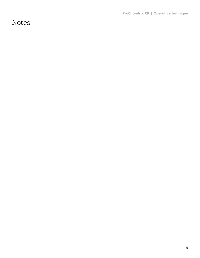**ProChondrix CR | Operative technique**

Notes